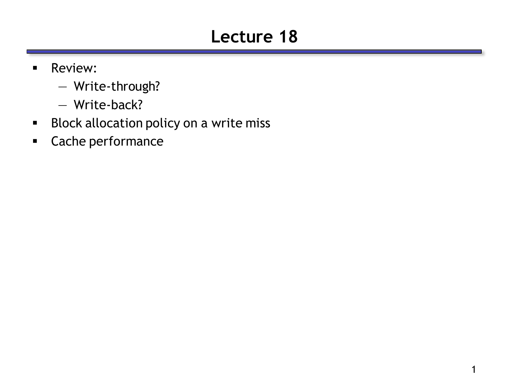# **Lecture 18**

- **Review:** 
	- Write-through?
	- Write-back?
- **Block allocation policy on a write miss**
- **Cache performance**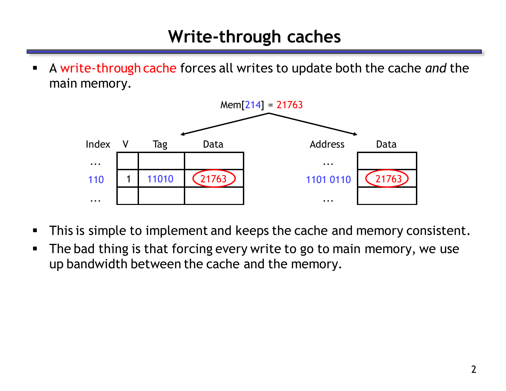A write-through cache forces all writes to update both the cache *and* the main memory.



- **This is simple to implement and keeps the cache and memory consistent.**
- The bad thing is that forcing every write to go to main memory, we use up bandwidth between the cache and the memory.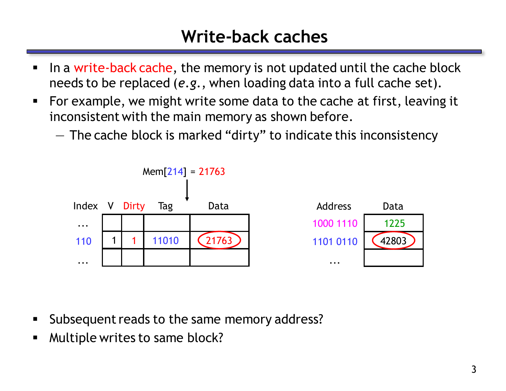## **Write-back caches**

- In a write-back cache, the memory is not updated until the cache block needs to be replaced (*e.g.*, when loading data into a full cache set).
- For example, we might write some data to the cache at first, leaving it inconsistent with the main memory as shown before.
	- The cache block is marked "dirty" to indicate this inconsistency



- **Subsequent reads to the same memory address?**
- **Multiple writes to same block?**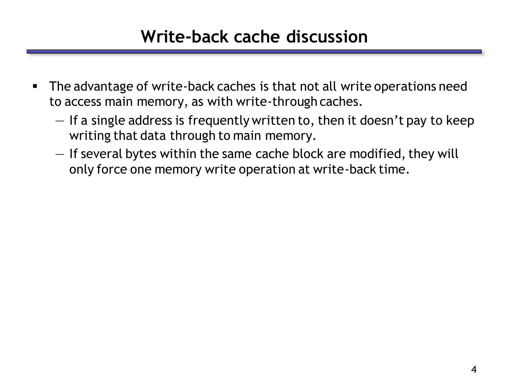### **Write-back cache discussion**

- The advantage of write-back caches is that not all write operations need to access main memory, as with write-through caches.
	- If a single address is frequently written to, then it doesn't pay to keep writing that data through to main memory.
	- If several bytes within the same cache block are modified, they will only force one memory write operation at write-back time.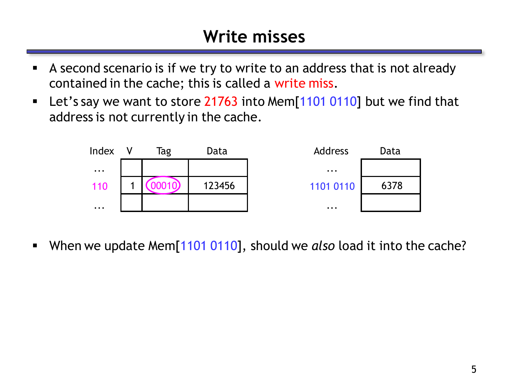### **Write misses**

- A second scenario is if we try to write to an address that is not already contained in the cache; this is called a write miss.
- **Let's say we want to store 21763 into Mem[1101 0110] but we find that** address is not currently in the cache.



When we update Mem[1101 0110], should we *also* load it into the cache?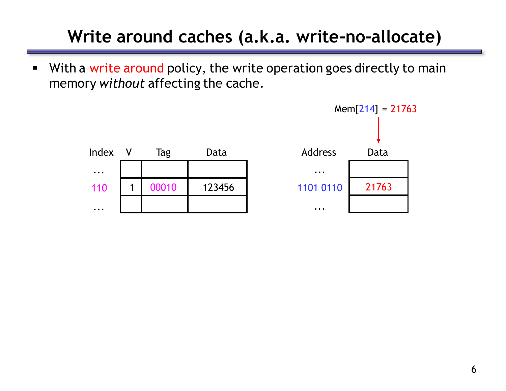# **Write around caches (a.k.a. write-no-allocate)**

• With a write around policy, the write operation goes directly to main memory *without* affecting the cache.

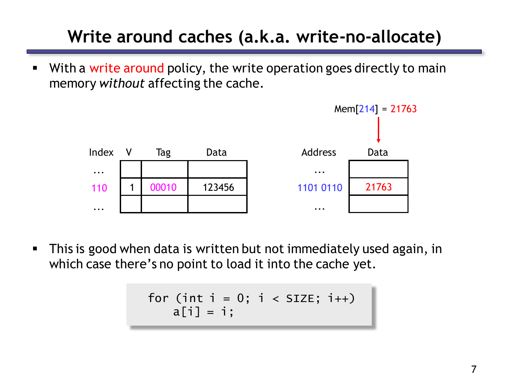# **Write around caches (a.k.a. write-no-allocate)**

**With a write around policy, the write operation goes directly to main** memory *without* affecting the cache.



 This is good when data is written but not immediately used again, in which case there's no point to load it into the cache yet.

$$
\begin{array}{rcl}\nfor (int i = 0; i < SIZE; i++) \\
a[i] = i;\n\end{array}
$$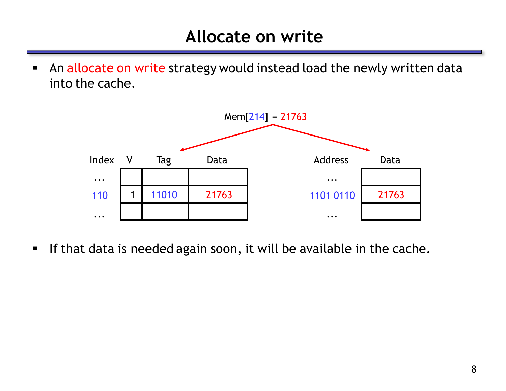An allocate on write strategy would instead load the newly written data into the cache.



If that data is needed again soon, it will be available in the cache.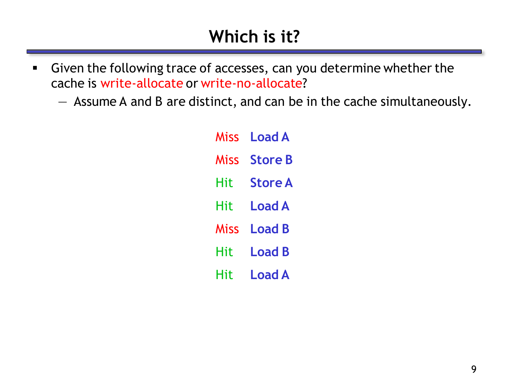- Given the following trace of accesses, can you determine whether the cache is write-allocate or write-no-allocate?
	- Assume A and B are distinct, and can be in the cache simultaneously.

| Miss | <b>Load A</b>  |
|------|----------------|
| Miss | <b>Store B</b> |
| Hit  | <b>Store A</b> |
| Hit  | <b>Load A</b>  |
| Miss | <b>Load B</b>  |
| Hit  | <b>Load B</b>  |
| Hit  | <b>Load A</b>  |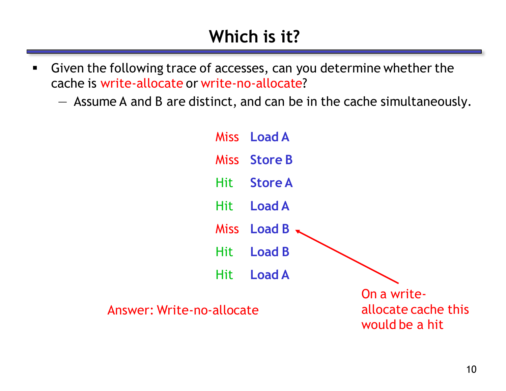Given the following trace of accesses, can you determine whether the cache is write-allocate or write-no-allocate?

Answer:

— Assume A and B are distinct, and can be in the cache simultaneously.

|                   | Miss Load A    |                                                      |
|-------------------|----------------|------------------------------------------------------|
|                   | Miss Store B   |                                                      |
| Hit               | <b>Store A</b> |                                                      |
| <b>Hit</b>        | <b>Load A</b>  |                                                      |
|                   | Miss Load B    |                                                      |
| Hit               | <b>Load B</b>  |                                                      |
| <b>Hit</b>        | <b>Load A</b>  |                                                      |
| Write-no-allocate |                | On a write-<br>allocate cache this<br>would be a hit |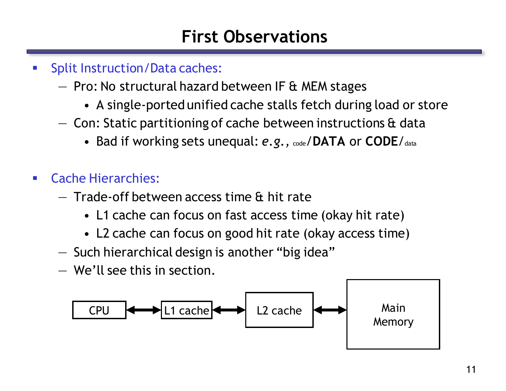### **First Observations**

- **Split Instruction/Data caches:** 
	- Pro: No structural hazard between IF & MEM stages
		- A single-ported unified cache stalls fetch during load or store
	- $-$  Con: Static partitioning of cache between instructions  $\alpha$  data
		- Bad if working sets unequal:  $e.g.,$   $\alpha_{\text{ode}}$  **/DATA** or **CODE**/ $\alpha_{\text{data}}$
- Cache Hierarchies:
	- Trade-off between access time & hit rate
		- L1 cache can focus on fast access time (okay hit rate)
		- L2 cache can focus on good hit rate (okay access time)
	- Such hierarchical design is another "big idea"
	- We'll see this in section.

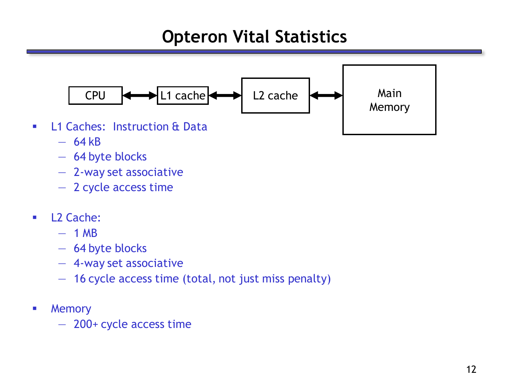### **Opteron Vital Statistics**



- $-64kB$
- 64 byte blocks
- 2-way set associative
- 2 cycle access time
- **L2 Cache:** 
	- $-1$  MB
	- 64 byte blocks
	- 4-way set associative
	- 16 cycle access time (total, not just miss penalty)
- **-** Memory
	- 200+ cycle access time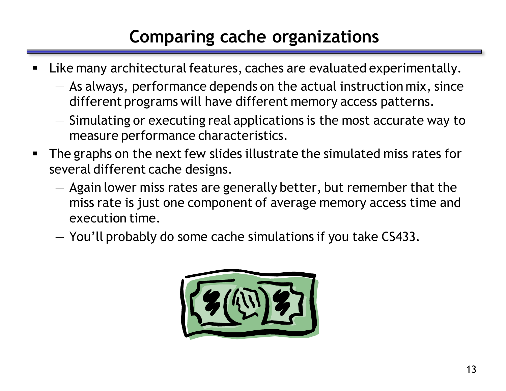# **Comparing cache organizations**

- Like many architectural features, caches are evaluated experimentally.
	- As always, performance depends on the actual instruction mix, since different programs will have different memory access patterns.
	- Simulating or executing real applications is the most accurate way to measure performance characteristics.
- The graphs on the next few slides illustrate the simulated miss rates for several different cache designs.
	- Again lower miss rates are generally better, but remember that the miss rate is just one component of average memory access time and execution time.
	- You'll probably do some cache simulations if you take CS433.

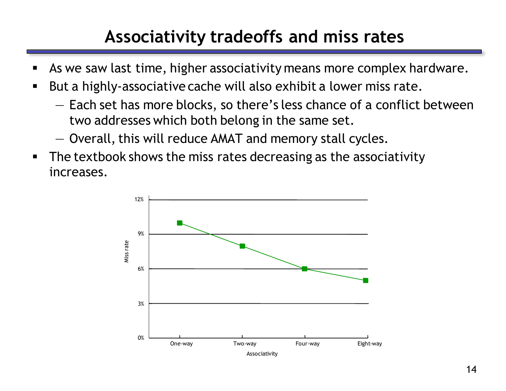# **Associativity tradeoffs and miss rates**

- As we saw last time, higher associativity means more complex hardware.
- But a highly-associative cache will also exhibit a lower miss rate.
	- Each set has more blocks, so there's less chance of a conflict between two addresses which both belong in the same set.
	- Overall, this will reduce AMAT and memory stall cycles.
- **The textbook shows the miss rates decreasing as the associativity** increases.

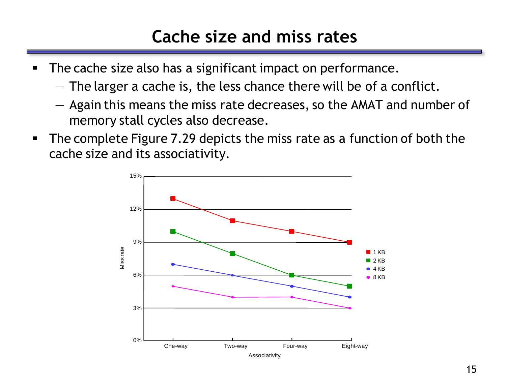### **Cache size and miss rates**

- **The cache size also has a significant impact on performance.** 
	- The larger a cache is, the less chance there will be of a conflict.
	- Again this means the miss rate decreases, so the AMAT and number of memory stall cycles also decrease.
- The complete Figure 7.29 depicts the miss rate as a function of both the cache size and its associativity.

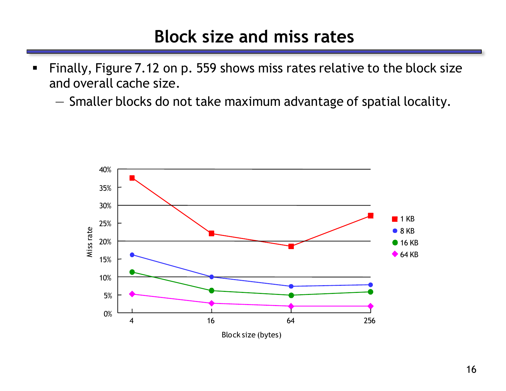#### **Block size and miss rates**

- Finally, Figure 7.12 on p. 559 shows miss rates relative to the block size and overall cache size.
	- Smaller blocks do not take maximum advantage of spatial locality.

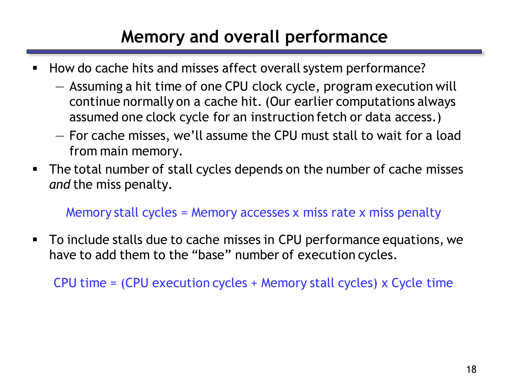# **Memory and overall performance**

- How do cache hits and misses affect overall system performance?
	- Assuming a hit time of one CPU clock cycle, program execution will continue normally on a cache hit. (Our earlier computations always assumed one clock cycle for an instruction fetch or data access.)
	- For cache misses, we'll assume the CPU must stall to wait for a load from main memory.
- The total number of stall cycles depends on the number of cache misses *and* the miss penalty.

#### Memory stall cycles = Memory accesses x miss rate x miss penalty

 To include stalls due to cache misses in CPU performance equations, we have to add them to the "base" number of execution cycles.

CPU time = (CPU execution cycles + Memory stall cycles) x Cycle time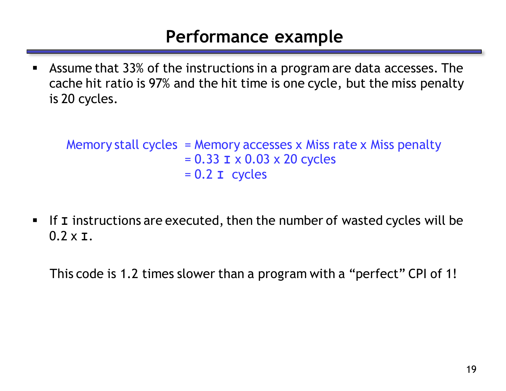#### **Performance example**

 Assume that 33% of the instructions in a program are data accesses. The cache hit ratio is 97% and the hit time is one cycle, but the miss penalty is 20 cycles.

Memory stall cycles = Memory accesses x Miss rate x Miss penalty = 0.33 **I** x 0.03 x 20 cycles = 0.2 **I** cycles

 If **I** instructions are executed, then the number of wasted cycles will be 0.2 x **I**.

This code is 1.2 times slower than a program with a "perfect" CPI of 1!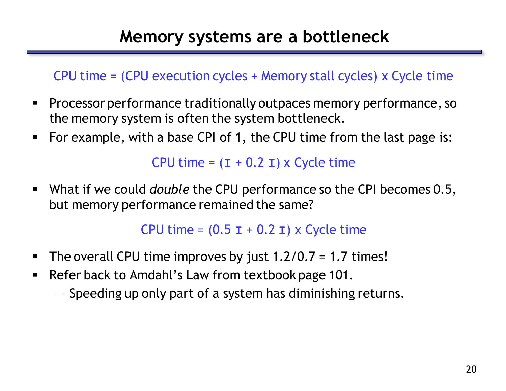#### CPU time = (CPU execution cycles + Memory stall cycles) x Cycle time

- Processor performance traditionally outpaces memory performance, so the memory system is often the system bottleneck.
- For example, with a base CPI of 1, the CPU time from the last page is:

CPU time =  $(I + 0.2 I) \times$  Cycle time

 What if we could *double* the CPU performance so the CPI becomes 0.5, but memory performance remained the same?

CPU time =  $(0.5 I + 0.2 I) \times$  Cycle time

- The overall CPU time improves by just  $1.2/0.7 = 1.7$  times!
- **Refer back to Amdahl's Law from textbook page 101.** 
	- Speeding up only part of a system has diminishing returns.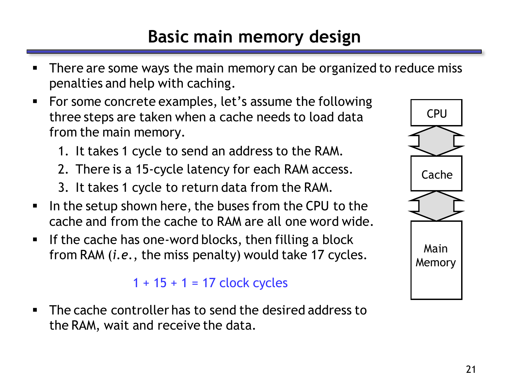### **Basic main memory design**

- There are some ways the main memory can be organized to reduce miss penalties and help with caching.
- For some concrete examples, let's assume the following three steps are taken when a cache needs to load data from the main memory.
	- 1. It takes 1 cycle to send an address to the RAM.
	- 2. There is a 15-cycle latency for each RAM access.
	- 3. It takes 1 cycle to return data from the RAM.
- I In the setup shown here, the buses from the CPU to the cache and from the cache to RAM are all one word wide.
- **If the cache has one-word blocks, then filling a block** from RAM (*i.e.*, the miss penalty) would take 17 cycles.

#### $1 + 15 + 1 = 17$  clock cycles

 The cache controller has to send the desired address to the RAM, wait and receive the data.

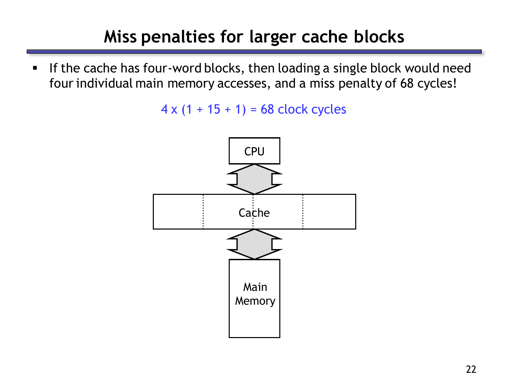# **Miss penalties for larger cache blocks**

**If the cache has four-word blocks, then loading a single block would need** four individual main memory accesses, and a miss penalty of 68 cycles!

 $4 \times (1 + 15 + 1) = 68$  clock cycles

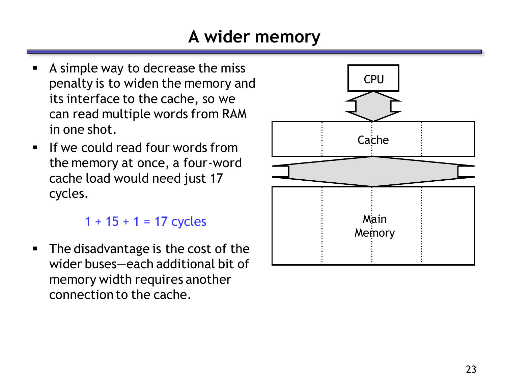# **A wider memory**

- A simple way to decrease the miss penalty is to widen the memory and its interface to the cache, so we can read multiple words from RAM in one shot.
- **If we could read four words from** the memory at once, a four-word cache load would need just 17 cycles.

 $1 + 15 + 1 = 17$  cycles

• The disadvantage is the cost of the wider buses—each additional bit of memory width requires another connection to the cache.

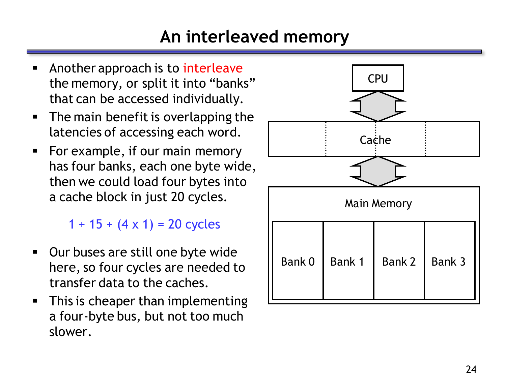## **An interleaved memory**

- Another approach is to interleave the memory, or split it into "banks" that can be accessed individually.
- **The main benefit is overlapping the** latencies of accessing each word.
- For example, if our main memory has four banks, each one byte wide, then we could load four bytes into a cache block in just 20 cycles.

 $1 + 15 + (4 \times 1) = 20$  cycles

- **Dur buses are still one byte wide** here, so four cycles are needed to transfer data to the caches.
- **This is cheaper than implementing** a four-byte bus, but not too much slower.

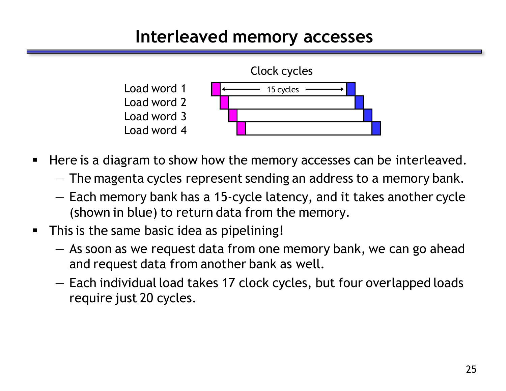### **Interleaved memory accesses**



- Here is a diagram to show how the memory accesses can be interleaved.
	- The magenta cycles represent sending an address to a memory bank.
	- Each memory bank has a 15-cycle latency, and it takes another cycle (shown in blue) to return data from the memory.
- **This is the same basic idea as pipelining!** 
	- As soon as we request data from one memory bank, we can go ahead and request data from another bank as well.
	- Each individual load takes 17 clock cycles, but four overlapped loads require just 20 cycles.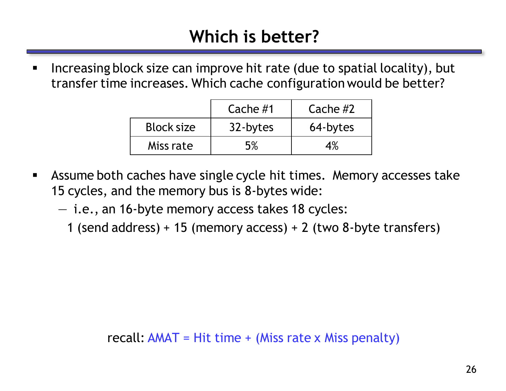**Increasing block size can improve hit rate (due to spatial locality), but** transfer time increases. Which cache configuration would be better?

|                   | Cache $#1$ | Cache $#2$ |
|-------------------|------------|------------|
| <b>Block size</b> | 32-bytes   | 64-bytes   |
| Miss rate         | 5%         | 4%         |

- Assume both caches have single cycle hit times. Memory accesses take 15 cycles, and the memory bus is 8-bytes wide:
	- i.e., an 16-byte memory access takes 18 cycles:
		- 1 (send address) + 15 (memory access) + 2 (two 8-byte transfers)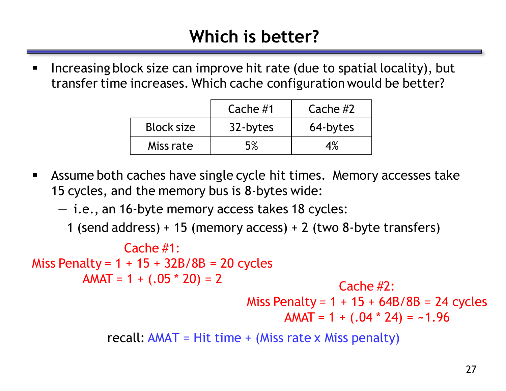Increasing block size can improve hit rate (due to spatial locality), but transfer time increases. Which cache configuration would be better?

|                   | Cache $#1$ | Cache $#2$ |
|-------------------|------------|------------|
| <b>Block size</b> | 32-bytes   | 64-bytes   |
| Miss rate         | 5%         | 4%         |

 Assume both caches have single cycle hit times. Memory accesses take 15 cycles, and the memory bus is 8-bytes wide:

— i.e., an 16-byte memory access takes 18 cycles:

1 (send address) + 15 (memory access) + 2 (two 8-byte transfers)

recall:  $AMAT = Hit time + (Miss rate x Miss penalty)$ Cache #1: Miss Penalty =  $1 + 15 + 32B/8B = 20$  cycles  $AMAT = 1 + (.05 * 20) = 2$  Cache #2: Miss Penalty =  $1 + 15 + 64B/8B = 24$  cycles AMAT = 1 + (.04 \* 24) = **~**1.96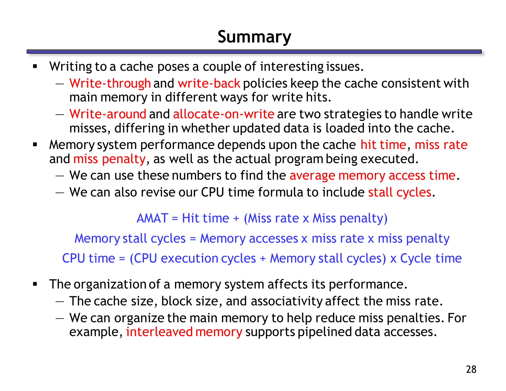# **Summary**

- **Writing to a cache poses a couple of interesting issues.** 
	- Write-through and write-back policies keep the cache consistent with main memory in different ways for write hits.
	- Write-around and allocate-on-write are two strategies to handle write misses, differing in whether updated data is loaded into the cache.
- **Memory system performance depends upon the cache hit time, miss rate** and miss penalty, as well as the actual program being executed.
	- We can use these numbers to find the average memory access time.
	- We can also revise our CPU time formula to include stall cycles.

AMAT = Hit time + (Miss rate x Miss penalty)

Memory stall cycles = Memory accesses x miss rate x miss penalty

CPU time = (CPU execution cycles + Memory stall cycles) x Cycle time

- **The organization of a memory system affects its performance.** 
	- The cache size, block size, and associativity affect the miss rate.
	- We can organize the main memory to help reduce miss penalties. For example, interleaved memory supports pipelined data accesses.